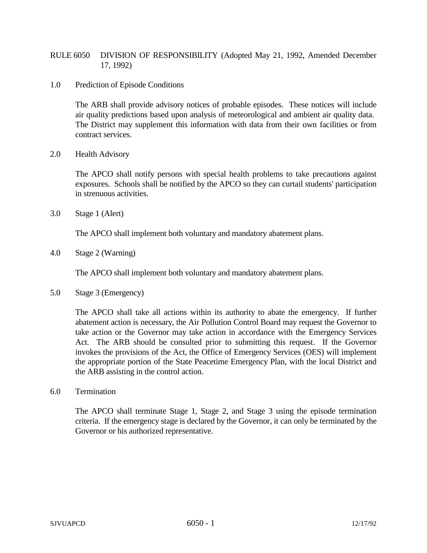## RULE 6050 DIVISION OF RESPONSIBILITY (Adopted May 21, 1992, Amended December 17, 1992)

1.0 Prediction of Episode Conditions

The ARB shall provide advisory notices of probable episodes. These notices will include air quality predictions based upon analysis of meteorological and ambient air quality data. The District may supplement this information with data from their own facilities or from contract services.

2.0 Health Advisory

The APCO shall notify persons with special health problems to take precautions against exposures. Schools shall be notified by the APCO so they can curtail students' participation in strenuous activities.

3.0 Stage 1 (Alert)

The APCO shall implement both voluntary and mandatory abatement plans.

4.0 Stage 2 (Warning)

The APCO shall implement both voluntary and mandatory abatement plans.

5.0 Stage 3 (Emergency)

The APCO shall take all actions within its authority to abate the emergency. If further abatement action is necessary, the Air Pollution Control Board may request the Governor to take action or the Governor may take action in accordance with the Emergency Services Act. The ARB should be consulted prior to submitting this request. If the Governor invokes the provisions of the Act, the Office of Emergency Services (OES) will implement the appropriate portion of the State Peacetime Emergency Plan, with the local District and the ARB assisting in the control action.

6.0 Termination

The APCO shall terminate Stage 1, Stage 2, and Stage 3 using the episode termination criteria. If the emergency stage is declared by the Governor, it can only be terminated by the Governor or his authorized representative.